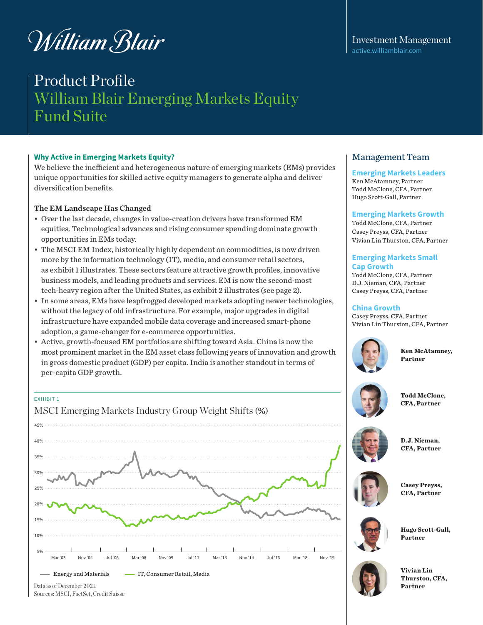# William Blair

# Product Profile William Blair Emerging Markets Equity Fund Suite

### **Why Active in Emerging Markets Equity?**

We believe the inefficient and heterogeneous nature of emerging markets (EMs) provides unique opportunities for skilled active equity managers to generate alpha and deliver diversification benefits.

### The EM Landscape Has Changed

- Over the last decade, changes in value-creation drivers have transformed EM equities. Technological advances and rising consumer spending dominate growth opportunities in EMs today.
- The MSCI EM Index, historically highly dependent on commodities, is now driven more by the information technology (IT), media, and consumer retail sectors, as exhibit 1 illustrates. These sectors feature attractive growth profiles, innovative business models, and leading products and services. EM is now the second-most tech-heavy region after the United States, as exhibit 2 illustrates (see page 2).
- In some areas, EMs have leapfrogged developed markets adopting newer technologies, without the legacy of old infrastructure. For example, major upgrades in digital infrastructure have expanded mobile data coverage and increased smart-phone adoption, a game-changer for e-commerce opportunities.
- Active, growth-focused EM portfolios are shifting toward Asia. China is now the most prominent market in the EM asset class following years of innovation and growth in gross domestic product (GDP) per capita. India is another standout in terms of per-capita GDP growth.

### EXHIBIT 1

MSCI Emerging Markets Industry Group Weight Shifts (%)



### Investment Management [active.williamblair.com](http://active.williamblair.com)

### Management Team

### **Emerging Markets Leaders**

Ken McAtamney, Partner Todd McClone, CFA, Partner Hugo Scott-Gall, Partner

### **Emerging Markets Growth**

Todd McClone, CFA, Partner Casey Preyss, CFA, Partner Vivian Lin Thurston, CFA, Partner

### **Emerging Markets Small Cap Growth**

Todd McClone, CFA, Partner D.J. Nieman, CFA, Partner Casey Preyss, CFA, Partner

### **China Growth**

Casey Preyss, CFA, Partner Vivian Lin Thurston, CFA, Partner



**Ken McAtamney, Partner**



**Todd McClone, CFA, Partner** 



**D.J. Nieman, CFA, Partner** 



**Partner**



**Hugo Scott-Gall,**



**Vivian Lin Thurston, CFA, Partner** 

Sources: MSCI, FactSet, Credit Suisse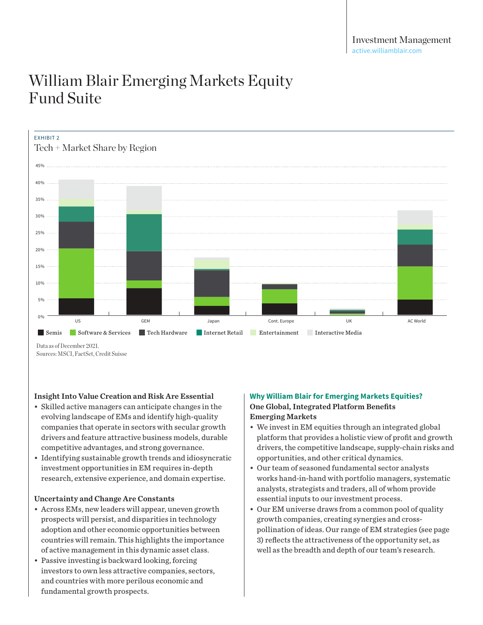

Data as of December 2021. Sources: MSCI, FactSet, Credit Suisse

### Insight Into Value Creation and Risk Are Essential

- Skilled active managers can anticipate changes in the evolving landscape of EMs and identify high-quality companies that operate in sectors with secular growth drivers and feature attractive business models, durable arivers and leature attractive business inodels, durable the Matiorin that provides a n<br>competitive advantages, and strong governance. The Matioris, the competitive la
- Identifying sustainable growth trends and idiosyncratic investment opportunities in EM requires in-depth research, extensive experience, and domain expertise.

#### Uncertainty and Change Are Constants **2020 Physical Experience, and do**<br> **Physical Change Are Constants JD.COM, 1.0% Reliance, 1.0%** p<br>**ge Meituan, 1.7%**

- Across EMs, new leaders will appear, uneven growth prospects will persist, and disparities in technology adoption and other economic opportunities between countries will remain. This highlights the importance of active management in this dynamic asset class.
- Passive investing is backward looking, forcing<br>investors to own less attractive companies, see investors to own less attractive companies, sectors, **2008 2.4% Vale, 2.2%** and countries with more perilous economic and fundamental growth prospects. 11:<br>**1.**<br>11: **Lukoil, 1.4%** nis<br>ar<br>et<br>er na<br>ol<br>.s

### **Why William Blair for Emerging Markets Equities?** One Global, Integrated Platform Benefits Emerging Markets

- We invest in EM equities through an integrated global platform that provides a holistic view of profit and growth drivers, the competitive landscape, supply-chain risks and opportunities, and other critical dynamics.
- Our team of seasoned fundamental sector analysts works hand-in-hand with portfolio managers, systematic analysts, strategists and traders, all of whom provide<br>essential inputs to our investment process analysts, strategists and traders, all of whor<br>essential inputs to our investment process.
- Our EM universe draws from a common pool of quality growth companies, creating synergies and crosspollination of ideas. Our range of EM strategies (see page 3) reflects the attractiveness of the opportunity set, as well as the breadth and depth of our team's research.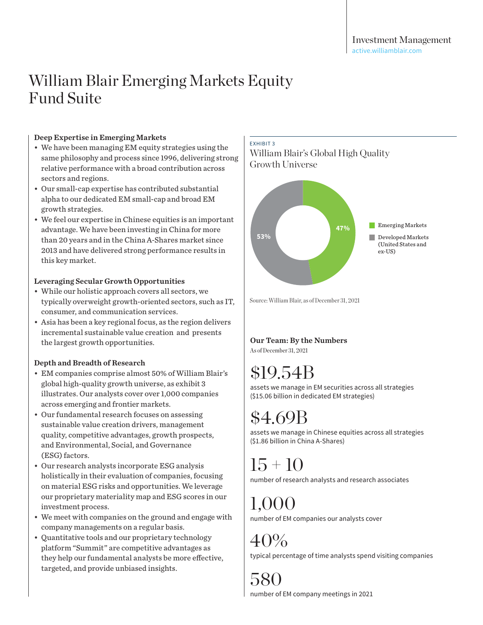# Deep Expertise in Emerging Markets

- We have been managing EM equity strategies using the same philosophy and process since 1996, delivering strong relative performance with a broad contribution across sectors and regions.
- Our small-cap expertise has contributed substantial alpha to our dedicated EM small-cap and broad EM growth strategies.
- We feel our expertise in Chinese equities is an important advantage. We have been investing in China for more than 20 years and in the China A-Shares market since 2013 and have delivered strong performance results in this key market.

### Leveraging Secular Growth Opportunities

- While our holistic approach covers all sectors, we typically overweight growth-oriented sectors, such as IT, consumer, and communication services.
- Asia has been a key regional focus, as the region delivers incremental sustainable value creation and presents the largest growth opportunities.

# Depth and Breadth of Research

- EM companies comprise almost 50% of William Blair's global high-quality growth universe, as exhibit 3 illustrates. Our analysts cover over 1,000 companies across emerging and frontier markets.
- Our fundamental research focuses on assessing sustainable value creation drivers, management quality, competitive advantages, growth prospects, and Environmental, Social, and Governance (ESG) factors.
- Our research analysts incorporate ESG analysis holistically in their evaluation of companies, focusing on material ESG risks and opportunities. We leverage our proprietary materiality map and ESG scores in our investment process.
- We meet with companies on the ground and engage with company managements on a regular basis.
- Quantitative tools and our proprietary technology platform "Summit" are competitive advantages as they help our fundamental analysts be more effective, targeted, and provide unbiased insights.

### EXHIBIT 3

William Blair's Global High Quality Growth Universe



Source: William Blair, as of December 31, 2021

# Our Team: By the Numbers

As of December 31, 2021

# \$19.54B

assets we manage in EM securities across all strategies (\$15.06 billion in dedicated EM strategies)

# \$4.69B

assets we manage in Chinese equities across all strategies (\$1.86 billion in China A-Shares)

 $15 + 10$ number of research analysts and research associates

 $1,000$ number of EM companies our analysts cover

40% typical percentage of time analysts spend visiting companies

580 number of EM company meetings in 2021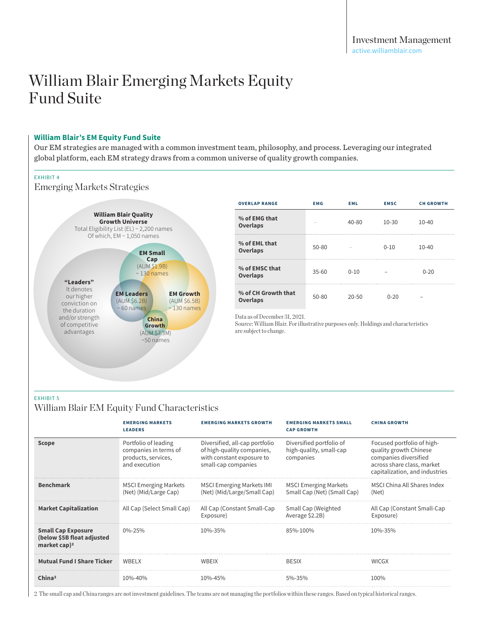#### **William Blair's EM Equity Fund Suite**

Our EM strategies are managed with a common investment team, philosophy, and process. Leveraging our integrated global platform, each EM strategy draws from a common universe of quality growth companies.

#### EXHIBIT 4

Emerging Markets Strategies



| <b>OVERLAP RANGE</b>                   | <b>EMG</b> | <b>EML</b> | <b>EMSC</b> | <b>CH GROWTH</b> |
|----------------------------------------|------------|------------|-------------|------------------|
| % of EMG that<br>Overlaps              |            | $40 - 80$  | $10 - 30$   | $10 - 40$        |
| % of EML that<br><b>Overlaps</b>       | $50 - 80$  |            | $0 - 10$    | $10 - 40$        |
| % of EMSC that<br><b>Overlaps</b>      | $35 - 60$  | $0 - 10$   |             | $0 - 20$         |
| % of CH Growth that<br><b>Overlaps</b> | $50 - 80$  | $20 - 50$  | $0 - 20$    |                  |

Data as of December 31, 2021.

Source: William Blair. For illustrative purposes only. Holdings and characteristics are subject to change.

#### EXHIBIT 5

### William Blair EM Equity Fund Characteristics

|                                                                                     | <b>EMERGING MARKETS</b><br><b>LEADERS</b>                                             | <b>EMERGING MARKETS GROWTH</b>                                                                                   | <b>EMERGING MARKETS SMALL</b><br><b>CAP GROWTH</b>               | <b>CHINA GROWTH</b>                                                                                                                           |
|-------------------------------------------------------------------------------------|---------------------------------------------------------------------------------------|------------------------------------------------------------------------------------------------------------------|------------------------------------------------------------------|-----------------------------------------------------------------------------------------------------------------------------------------------|
| <b>Scope</b>                                                                        | Portfolio of leading<br>companies in terms of<br>products, services,<br>and execution | Diversified, all-cap portfolio<br>of high-quality companies,<br>with constant exposure to<br>small-cap companies | Diversified portfolio of<br>high-quality, small-cap<br>companies | Focused portfolio of high-<br>quality growth Chinese<br>companies diversified<br>across share class, market<br>capitalization, and industries |
| <b>Benchmark</b>                                                                    | <b>MSCI Emerging Markets</b><br>(Net) (Mid/Large Cap)                                 | <b>MSCI Emerging Markets IMI</b><br>(Net) (Mid/Large/Small Cap)                                                  | <b>MSCI Emerging Markets</b><br>Small Cap (Net) (Small Cap)      | MSCI China All Shares Index<br>(Net)                                                                                                          |
| <b>Market Capitalization</b>                                                        | All Cap (Select Small Cap)                                                            | All Cap (Constant Small-Cap<br>Exposure)                                                                         | Small Cap (Weighted<br>Average \$2.2B)                           | All Cap (Constant Small-Cap<br>Exposure)                                                                                                      |
| <b>Small Cap Exposure</b><br>(below \$5B float adjusted<br>market cap) <sup>2</sup> | $0\% - 25\%$                                                                          | 10%-35%                                                                                                          | 85%-100%                                                         | 10%-35%                                                                                                                                       |
| <b>Mutual Fund I Share Ticker</b>                                                   | WBFI X                                                                                | <b>WBFIX</b>                                                                                                     | <b>BESIX</b>                                                     | <b>WICGX</b>                                                                                                                                  |
| China <sup>2</sup>                                                                  | $10\% - 40\%$                                                                         | $10\% - 45\%$                                                                                                    | 5%-35%                                                           | 100%                                                                                                                                          |

2 The small cap and China ranges are not investment guidelines. The teams are not managing the portfolios within these ranges. Based on typical historical ranges.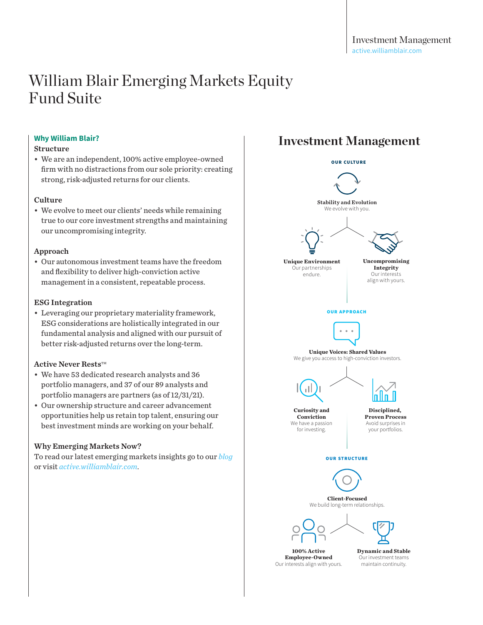### **Why William Blair?**

### Structure

• We are an independent, 100% active employee-owned firm with no distractions from our sole priority: creating strong, risk-adjusted returns for our clients.

### **Culture**

• We evolve to meet our clients' needs while remaining true to our core investment strengths and maintaining our uncompromising integrity.

### Approach

• Our autonomous investment teams have the freedom and flexibility to deliver high-conviction active management in a consistent, repeatable process.

### ESG Integration

• Leveraging our proprietary materiality framework, ESG considerations are holistically integrated in our fundamental analysis and aligned with our pursuit of better risk-adjusted returns over the long-term.

### $\Lambda$ ctive Never Rests<sup>TM</sup>

- We have 53 dedicated research analysts and 36 portfolio managers, and 37 of our 89 analysts and portfolio managers are partners (as of 12/31/21).
- Our ownership structure and career advancement opportunities help us retain top talent, ensuring our best investment minds are working on your behalf.

### Why Emerging Markets Now?

To read our latest emerging markets insights go to our *[blog](https://active.williamblair.com/insights/emerging-markets/)* or visit *[active.williamblair.com](http://active.williamblair.com)*.

# **Investment Management**

OUR CULTURE



**100% Active Employee-Owned** Our interests align with yours. **Dynamic and Stable** Our investment teams maintain continuity.